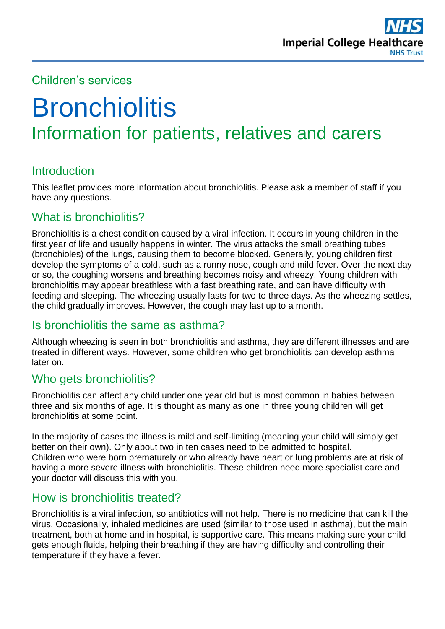

# Children's services

# **Bronchiolitis** Information for patients, relatives and carers

# **Introduction**

This leaflet provides more information about bronchiolitis. Please ask a member of staff if you have any questions.

#### What is bronchiolitis?

Bronchiolitis is a chest condition caused by a viral infection. It occurs in young children in the first year of life and usually happens in winter. The virus attacks the small breathing tubes (bronchioles) of the lungs, causing them to become blocked. Generally, young children first develop the symptoms of a cold, such as a runny nose, cough and mild fever. Over the next day or so, the coughing worsens and breathing becomes noisy and wheezy. Young children with bronchiolitis may appear breathless with a fast breathing rate, and can have difficulty with feeding and sleeping. The wheezing usually lasts for two to three days. As the wheezing settles, the child gradually improves. However, the cough may last up to a month.

#### Is bronchiolitis the same as asthma?

Although wheezing is seen in both bronchiolitis and asthma, they are different illnesses and are treated in different ways. However, some children who get bronchiolitis can develop asthma later on.

#### Who gets bronchiolitis?

Bronchiolitis can affect any child under one year old but is most common in babies between three and six months of age. It is thought as many as one in three young children will get bronchiolitis at some point.

In the majority of cases the illness is mild and self-limiting (meaning your child will simply get better on their own). Only about two in ten cases need to be admitted to hospital. Children who were born prematurely or who already have heart or lung problems are at risk of having a more severe illness with bronchiolitis. These children need more specialist care and your doctor will discuss this with you.

## How is bronchiolitis treated?

Bronchiolitis is a viral infection, so antibiotics will not help. There is no medicine that can kill the virus. Occasionally, inhaled medicines are used (similar to those used in asthma), but the main treatment, both at home and in hospital, is supportive care. This means making sure your child gets enough fluids, helping their breathing if they are having difficulty and controlling their temperature if they have a fever.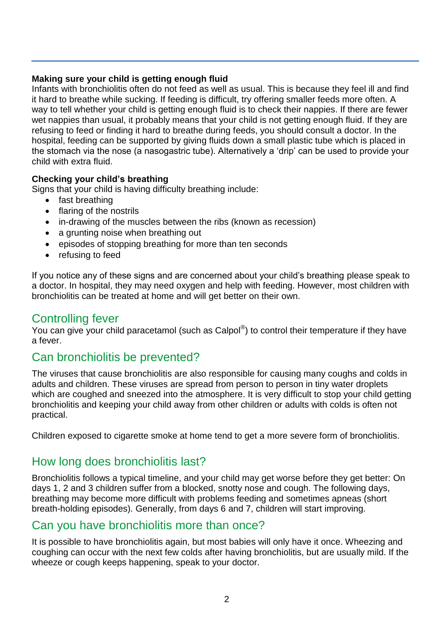#### **Making sure your child is getting enough fluid**

Infants with bronchiolitis often do not feed as well as usual. This is because they feel ill and find it hard to breathe while sucking. If feeding is difficult, try offering smaller feeds more often. A way to tell whether your child is getting enough fluid is to check their nappies. If there are fewer wet nappies than usual, it probably means that your child is not getting enough fluid. If they are refusing to feed or finding it hard to breathe during feeds, you should consult a doctor. In the hospital, feeding can be supported by giving fluids down a small plastic tube which is placed in the stomach via the nose (a nasogastric tube). Alternatively a 'drip' can be used to provide your child with extra fluid.

#### **Checking your child's breathing**

Signs that your child is having difficulty breathing include:

- fast breathing
- flaring of the nostrils
- in-drawing of the muscles between the ribs (known as recession)
- a grunting noise when breathing out
- episodes of stopping breathing for more than ten seconds
- refusing to feed

If you notice any of these signs and are concerned about your child's breathing please speak to a doctor. In hospital, they may need oxygen and help with feeding. However, most children with bronchiolitis can be treated at home and will get better on their own.

# Controlling fever

You can give your child paracetamol (such as Calpol®) to control their temperature if they have a fever.

# Can bronchiolitis be prevented?

The viruses that cause bronchiolitis are also responsible for causing many coughs and colds in adults and children. These viruses are spread from person to person in tiny water droplets which are coughed and sneezed into the atmosphere. It is very difficult to stop your child getting bronchiolitis and keeping your child away from other children or adults with colds is often not practical.

Children exposed to cigarette smoke at home tend to get a more severe form of bronchiolitis.

# How long does bronchiolitis last?

Bronchiolitis follows a typical timeline, and your child may get worse before they get better: On days 1, 2 and 3 children suffer from a blocked, snotty nose and cough. The following days, breathing may become more difficult with problems feeding and sometimes apneas (short breath-holding episodes). Generally, from days 6 and 7, children will start improving.

# Can you have bronchiolitis more than once?

It is possible to have bronchiolitis again, but most babies will only have it once. Wheezing and coughing can occur with the next few colds after having bronchiolitis, but are usually mild. If the wheeze or cough keeps happening, speak to your doctor.